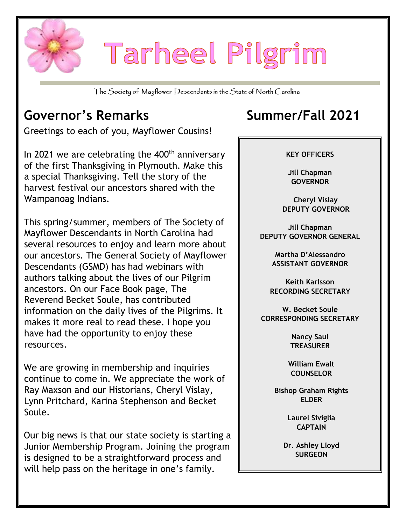

# Tarheel Pilgrim

The Society of Mayflower Descendants in the State of North Carolina

## **Governor's Remarks Summer/Fall 2021**

Greetings to each of you, Mayflower Cousins!

In 2021 we are celebrating the  $400<sup>th</sup>$  anniversary of the first Thanksgiving in Plymouth. Make this a special Thanksgiving. Tell the story of the harvest festival our ancestors shared with the Wampanoag Indians.

This spring/summer, members of The Society of Mayflower Descendants in North Carolina had several resources to enjoy and learn more about our ancestors. The General Society of Mayflower Descendants (GSMD) has had webinars with authors talking about the lives of our Pilgrim ancestors. On our Face Book page, The Reverend Becket Soule, has contributed information on the daily lives of the Pilgrims. It makes it more real to read these. I hope you have had the opportunity to enjoy these resources.

We are growing in membership and inquiries continue to come in. We appreciate the work of Ray Maxson and our Historians, Cheryl Vislay, Lynn Pritchard, Karina Stephenson and Becket Soule.

Our big news is that our state society is starting a Junior Membership Program. Joining the program is designed to be a straightforward process and will help pass on the heritage in one's family.



**Nancy Saul TREASURER**

**William Ewalt COUNSELOR**

**Bishop Graham Rights ELDER**

> **Laurel Siviglia CAPTAIN**

**Dr. Ashley Lloyd SURGEON**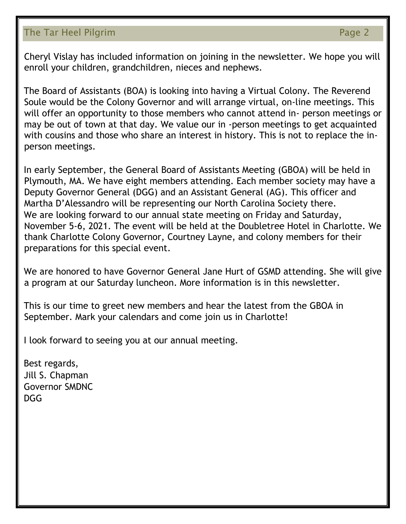### The Tar Heel Pilgrim **Page 2**

Cheryl Vislay has included information on joining in the newsletter. We hope you will enroll your children, grandchildren, nieces and nephews.

The Board of Assistants (BOA) is looking into having a Virtual Colony. The Reverend Soule would be the Colony Governor and will arrange virtual, on-line meetings. This will offer an opportunity to those members who cannot attend in- person meetings or may be out of town at that day. We value our in -person meetings to get acquainted with cousins and those who share an interest in history. This is not to replace the inperson meetings.

In early September, the General Board of Assistants Meeting (GBOA) will be held in Plymouth, MA. We have eight members attending. Each member society may have a Deputy Governor General (DGG) and an Assistant General (AG). This officer and Martha D'Alessandro will be representing our North Carolina Society there. We are looking forward to our annual state meeting on Friday and Saturday, November 5-6, 2021. The event will be held at the Doubletree Hotel in Charlotte. We thank Charlotte Colony Governor, Courtney Layne, and colony members for their preparations for this special event.

We are honored to have Governor General Jane Hurt of GSMD attending. She will give a program at our Saturday luncheon. More information is in this newsletter.

This is our time to greet new members and hear the latest from the GBOA in September. Mark your calendars and come join us in Charlotte!

I look forward to seeing you at our annual meeting.

Best regards, Jill S. Chapman Governor SMDNC  $DG<sub>G</sub>$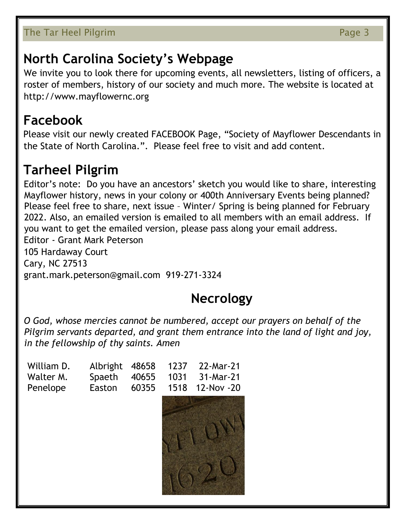### The Tar Heel Pilgrim **Page 3**

## **North Carolina Society's Webpage**

We invite you to look there for upcoming events, all newsletters, listing of officers, a roster of members, history of our society and much more. The website is located at http://www.mayflowernc.org

## **Facebook**

Please visit our newly created FACEBOOK Page, "Society of Mayflower Descendants in the State of North Carolina.". Please feel free to visit and add content.

## **Tarheel Pilgrim**

Editor's note: Do you have an ancestors' sketch you would like to share, interesting Mayflower history, news in your colony or 400th Anniversary Events being planned? Please feel free to share, next issue – Winter/ Spring is being planned for February 2022. Also, an emailed version is emailed to all members with an email address. If you want to get the emailed version, please pass along your email address. Editor - Grant Mark Peterson 105 Hardaway Court Cary, NC 27513 grant.mark.peterson@gmail.com 919-271-3324

## **Necrology**

*O God, whose mercies cannot be numbered, accept our prayers on behalf of the Pilgrim servants departed, and grant them entrance into the land of light and joy, in the fellowship of thy saints. Amen*

| William D. | Albright | 48658 | 1237 | 22-Mar-21  |
|------------|----------|-------|------|------------|
| Walter M.  | Spaeth   | 40655 | 1031 | 31-Mar-21  |
| Penelope   | Easton   | 60355 | 1518 | 12-Nov -20 |
|            |          |       |      |            |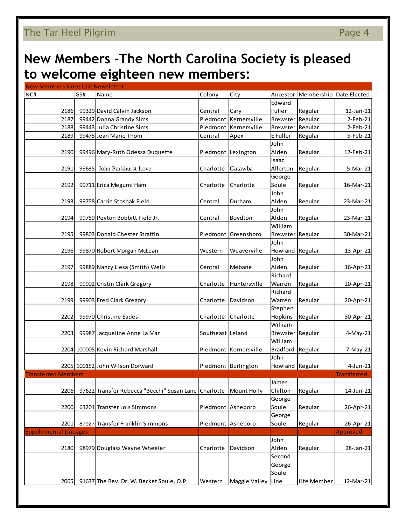### The Tar Heel Pilgrim **Page 4** and the Tar Page 4

## **New Members -The North Carolina Society is pleased to welcome eighteen new members:**

| <b>New Members Since Last Newsletter</b> |     |                                                      |                   |                         |                  |                         |                    |
|------------------------------------------|-----|------------------------------------------------------|-------------------|-------------------------|------------------|-------------------------|--------------------|
| NC#                                      | GS# | Name                                                 | Colony            | City                    | Ancestor         | Membership Date Elected |                    |
|                                          |     |                                                      |                   |                         | Edward           |                         |                    |
| 2186                                     |     | 99329 David Calvin Jackson                           | Central           | Cary                    | Fuller           | Regular                 | 12-Jan-21          |
| 2187                                     |     | 99442 Donna Grandy Sims                              |                   | Piedmont Kernersville   | <b>Brewster</b>  | Regular                 | 2-Feb-21           |
| 2188                                     |     | 99443 Julia Christine Sims                           |                   | Piedmont Kernersville   | Brewster Regular |                         | $2-Feb-21$         |
| 2189                                     |     | 99475 Jean Marie Thom                                | Central           | Apex                    | E Fuller         | Regular                 | 5-Feb-21           |
|                                          |     |                                                      |                   |                         | John             |                         |                    |
| 2190                                     |     | 99496 Mary-Ruth Odessa Duquette                      |                   | Piedmont Lexington      | Alden            | Regular                 | 12-Feb-21          |
|                                          |     |                                                      |                   |                         | Isaac            |                         |                    |
| 2191                                     |     | 99635 John Parkhurst Love                            | Charlotte         | Catawba                 | Allerton         | Regular                 | 5-Mar-21           |
|                                          |     |                                                      |                   |                         | George           |                         |                    |
| 2192                                     |     | 99711 Erica Megumi Ham                               | Charlotte         | Charlotte               | Soule            | Regular                 |                    |
|                                          |     |                                                      |                   |                         | John             |                         | 16-Mar-21          |
|                                          |     |                                                      |                   |                         |                  |                         |                    |
| 2193                                     |     | 99758 Carrie Stoshak Field                           | Central           | Durham                  | Alden            | Regular                 | 23-Mar-21          |
|                                          |     |                                                      |                   |                         | John             |                         |                    |
| 2194                                     |     | 99759 Peyton Bobbitt Field Jr.                       | Central           | Boydton                 | Alden            | Regular                 | 23-Mar-21          |
|                                          |     |                                                      |                   |                         | William          |                         |                    |
| 2195                                     |     | 99803 Donald Chester Straffin                        |                   | Piedmont Greensboro     | Brewster Regular |                         | 30-Mar-21          |
|                                          |     |                                                      |                   |                         | John             |                         |                    |
| 2196                                     |     | 99870 Robert Morgan McLean                           | Western           | Weaverville             | Howland          | Regular                 | 13-Apr-21          |
|                                          |     |                                                      |                   |                         | John             |                         |                    |
| 2197                                     |     | 99889 Nancy Liesa (Smith) Wells                      | Central           | Mebane                  | Alden            | Regular                 | 16-Apr-21          |
|                                          |     |                                                      |                   |                         | Richard          |                         |                    |
| 2198                                     |     | 99902 Cristin Clark Gregory                          | Charlotte         | Huntersville            | Warren           | Regular                 | 20-Apr-21          |
|                                          |     |                                                      |                   |                         | Richard          |                         |                    |
| 2199                                     |     | 99903 Fred Clark Gregory                             | Charlotte         | Davidson                | Warren           | Regular                 | 20-Apr-21          |
|                                          |     |                                                      |                   |                         | Stephen          |                         |                    |
| 2202                                     |     | 99970 Christine Eades                                | Charlotte         | Charlotte               | Hopkins          | Regular                 | 30-Apr-21          |
|                                          |     |                                                      |                   |                         | William          |                         |                    |
| 2203                                     |     | 99987 Jacqueline Anne La Mar                         | Southeast Leland  |                         | Brewster         | Regular                 |                    |
|                                          |     |                                                      |                   |                         | William          |                         | 4-May-21           |
|                                          |     |                                                      |                   |                         |                  |                         |                    |
|                                          |     | 2204 100005 Kevin Richard Marshall                   |                   | Piedmont   Kernersville | <b>Bradford</b>  | Regular                 | 7-May-21           |
|                                          |     |                                                      |                   |                         | John             |                         |                    |
|                                          |     | 2205 100152 John Wilson Dorward                      |                   | Piedmont Burlington     | Howland Regular  |                         | 4-Jun-21           |
| <b>Transferred Members</b>               |     |                                                      |                   |                         |                  |                         | <b>Transferred</b> |
|                                          |     |                                                      |                   |                         | James            |                         |                    |
| 2206                                     |     | 97622 Transfer Rebecca "Becchi" Susan Lane Charlotte |                   | Mount Holly             | Chilton          | Regular                 | 14-Jun-21          |
|                                          |     |                                                      |                   |                         | George           |                         |                    |
| 2200                                     |     | 63201 Transfer Lois Simmons                          | Piedmont Asheboro |                         | Soule            | Regular                 | 26-Apr-21          |
|                                          |     |                                                      |                   |                         | George           |                         |                    |
| 2201                                     |     | 87927 Transfer Franklin Simmons                      |                   | Piedmont Asheboro       | Soule            | Regular                 | 26-Apr-21          |
| <b>Supplemental Lineages</b>             |     |                                                      |                   |                         |                  |                         | Approved           |
|                                          |     |                                                      |                   |                         | John             |                         |                    |
| 2180                                     |     | 98979 Douglass Wayne Wheeler                         | Charlotte         | Davidson                | Alden            | Regular                 | 28-Jan-21          |
|                                          |     |                                                      |                   |                         | Second           |                         |                    |
|                                          |     |                                                      |                   |                         | George           |                         |                    |
|                                          |     |                                                      |                   |                         | Soule            |                         |                    |
| 2065                                     |     | 91637 The Rev. Dr. W. Becket Soule, O.P              | Western           | Maggie Valley Line      |                  | Life Member             | 12-Mar-21          |
|                                          |     |                                                      |                   |                         |                  |                         |                    |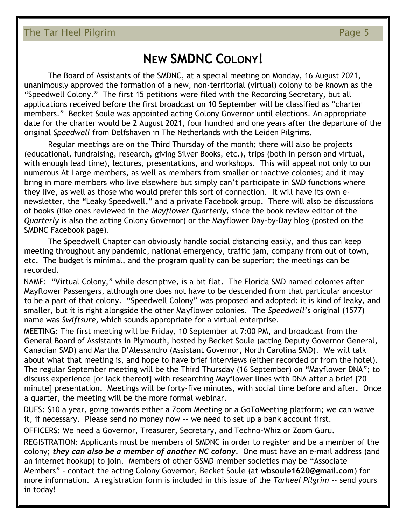### **NEW SMDNC COLONY!**

The Board of Assistants of the SMDNC, at a special meeting on Monday, 16 August 2021, unanimously approved the formation of a new, non-territorial (virtual) colony to be known as the "Speedwell Colony." The first 15 petitions were filed with the Recording Secretary, but all applications received before the first broadcast on 10 September will be classified as "charter members." Becket Soule was appointed acting Colony Governor until elections. An appropriate date for the charter would be 2 August 2021, four hundred and one years after the departure of the original *Speedwell* from Delfshaven in The Netherlands with the Leiden Pilgrims.

Regular meetings are on the Third Thursday of the month; there will also be projects (educational, fundraising, research, giving Silver Books, etc.), trips (both in person and virtual, with enough lead time), lectures, presentations, and workshops. This will appeal not only to our numerous At Large members, as well as members from smaller or inactive colonies; and it may bring in more members who live elsewhere but simply can't participate in SMD functions where they live, as well as those who would prefer this sort of connection. It will have its own enewsletter, the "Leaky Speedwell," and a private Facebook group. There will also be discussions of books (like ones reviewed in the *Mayflower Quarterly*, since the book review editor of the *Quarterly* is also the acting Colony Governor) or the Mayflower Day-by-Day blog (posted on the SMDNC Facebook page).

The Speedwell Chapter can obviously handle social distancing easily, and thus can keep meeting throughout any pandemic, national emergency, traffic jam, company from out of town, etc. The budget is minimal, and the program quality can be superior; the meetings can be recorded.

NAME: "Virtual Colony," while descriptive, is a bit flat. The Florida SMD named colonies after Mayflower Passengers, although one does not have to be descended from that particular ancestor to be a part of that colony. "Speedwell Colony" was proposed and adopted: it is kind of leaky, and smaller, but it is right alongside the other Mayflower colonies. The *Speedwell*'s original (1577) name was *Swiftsure*, which sounds appropriate for a virtual enterprise.

MEETING: The first meeting will be Friday, 10 September at 7:00 PM, and broadcast from the General Board of Assistants in Plymouth, hosted by Becket Soule (acting Deputy Governor General, Canadian SMD) and Martha D'Alessandro (Assistant Governor, North Carolina SMD). We will talk about what that meeting is, and hope to have brief interviews (either recorded or from the hotel). The regular September meeting will be the Third Thursday (16 September) on "Mayflower DNA"; to discuss experience [or lack thereof] with researching Mayflower lines with DNA after a brief [20 minute] presentation. Meetings will be forty-five minutes, with social time before and after. Once a quarter, the meeting will be the more formal webinar.

DUES: \$10 a year, going towards either a Zoom Meeting or a GoToMeeting platform; we can waive it, if necessary. Please send no money now -- we need to set up a bank account first.

OFFICERS: We need a Governor, Treasurer, Secretary, and Techno-Whiz or Zoom Guru.

REGISTRATION: Applicants must be members of SMDNC in order to register and be a member of the colony; *they can also be a member of another NC colony*. One must have an e-mail address (and an internet hookup) to join. Members of other GSMD member societies may be "Associate Members" - contact the acting Colony Governor, Becket Soule (at **wbsoule1620@gmail.com**) for more information. A registration form is included in this issue of the *Tarheel Pilgrim* -- send yours in today!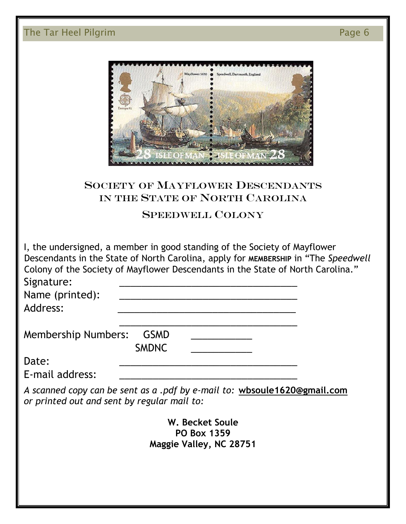### The Tar Heel Pilgrim **Page 6**

|                  | Mayflower 1620 | Speedwell, Dartmouth, England |
|------------------|----------------|-------------------------------|
| Europa 92        |                |                               |
|                  |                |                               |
|                  |                |                               |
| <b>ISLE OF M</b> |                | OFMAN-<br>- 20                |

### SOCIETY OF MAYFLOWER DESCENDANTS IN THE STATE OF NORTH CAROLINA

### SPEEDWELL COLONY

I, the undersigned, a member in good standing of the Society of Mayflower Descendants in the State of North Carolina, apply for **MEMBERSHIP** in "The *Speedwell* Colony of the Society of Mayflower Descendants in the State of North Carolina." Signature:

| Name (printed): |  |
|-----------------|--|
| Address:        |  |

Membership Numbers: GSMD

Date: \_\_\_\_\_\_\_\_\_\_\_\_\_\_\_\_\_\_\_\_\_\_\_\_\_\_\_\_\_\_\_\_

E-mail address:

*A scanned copy can be sent as a .pdf by e-mail to:* **wbsoule1620@gmail.com** *or printed out and sent by regular mail to:*

 $\frac{1}{\sqrt{2}}$  ,  $\frac{1}{\sqrt{2}}$  ,  $\frac{1}{\sqrt{2}}$  ,  $\frac{1}{\sqrt{2}}$  ,  $\frac{1}{\sqrt{2}}$  ,  $\frac{1}{\sqrt{2}}$  ,  $\frac{1}{\sqrt{2}}$  ,  $\frac{1}{\sqrt{2}}$  ,  $\frac{1}{\sqrt{2}}$  ,  $\frac{1}{\sqrt{2}}$  ,  $\frac{1}{\sqrt{2}}$  ,  $\frac{1}{\sqrt{2}}$  ,  $\frac{1}{\sqrt{2}}$  ,  $\frac{1}{\sqrt{2}}$  ,  $\frac{1}{\sqrt{2}}$ 

SMDNC \_\_\_\_\_\_\_\_\_\_\_

**W. Becket Soule PO Box 1359 Maggie Valley, NC 28751**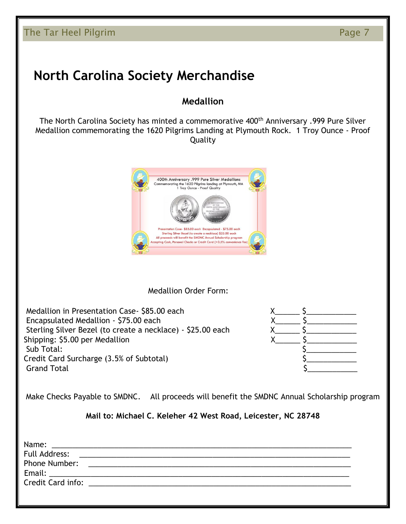## **North Carolina Society Merchandise**

### **Medallion**

The North Carolina Society has minted a commemorative 400<sup>th</sup> Anniversary .999 Pure Silver Medallion commemorating the 1620 Pilgrims Landing at Plymouth Rock. 1 Troy Ounce - Proof Quality



Medallion Order Form:

Medallion in Presentation Case- \$85.00 each  $X$ Encapsulated Medallion - \$75.00 each Sterling Silver Bezel (to create a necklace) - \$25.00 each Shipping: \$5.00 per Medallion Sub Total: \$\_\_\_\_\_\_\_\_\_\_\_\_ Credit Card Surcharge (3.5% of Subtotal)  $\begin{array}{c} \text{5} \rightarrow \text{6} \end{array}$ Grand Total



Make Checks Payable to SMDNC. All proceeds will benefit the SMDNC Annual Scholarship program

**Mail to: Michael C. Keleher 42 West Road, Leicester, NC 28748**

| Name:         |                                                                                                                                                                                                                                |  |
|---------------|--------------------------------------------------------------------------------------------------------------------------------------------------------------------------------------------------------------------------------|--|
| Full Address: | <u> 1989 - Johann John Stone, markin amerikan berkenal (h. 1989).</u>                                                                                                                                                          |  |
| Phone Number: |                                                                                                                                                                                                                                |  |
|               |                                                                                                                                                                                                                                |  |
|               | Credit Card info: the contract of the contract of the contract of the contract of the contract of the contract of the contract of the contract of the contract of the contract of the contract of the contract of the contract |  |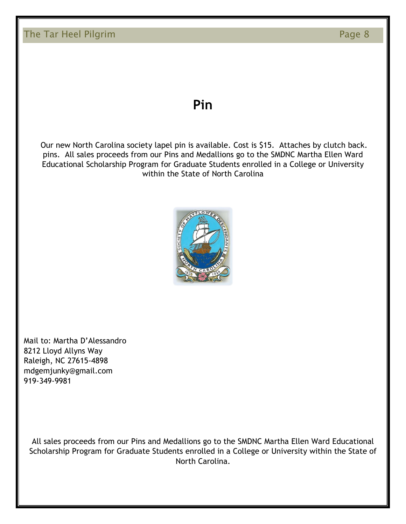### The Tar Heel Pilgrim **Page 8** and the Tar Heel Pilgrim Page 8

### **Pin**

Our new North Carolina society lapel pin is available. Cost is \$15. Attaches by clutch back. pins. All sales proceeds from our Pins and Medallions go to the SMDNC Martha Ellen Ward Educational Scholarship Program for Graduate Students enrolled in a College or University within the State of North Carolina



Mail to: Martha D'Alessandro 8212 Lloyd Allyns Way Raleigh, NC 27615-4898 mdgemjunky@gmail.com 919-349-9981

All sales proceeds from our Pins and Medallions go to the SMDNC Martha Ellen Ward Educational Scholarship Program for Graduate Students enrolled in a College or University within the State of North Carolina.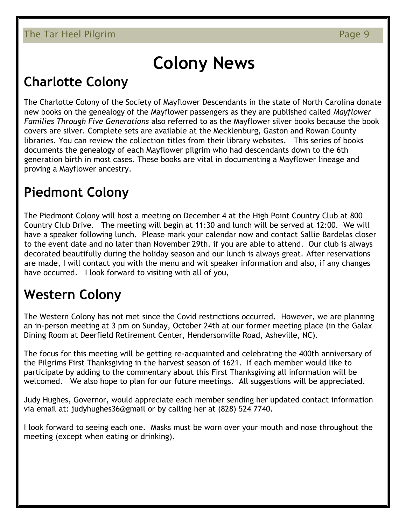## **Colony News**

## **Charlotte Colony**

The Charlotte Colony of the Society of Mayflower Descendants in the state of North Carolina donate new books on the genealogy of the Mayflower passengers as they are published called *Mayflower Families Through Five Generations* also referred to as the Mayflower silver books because the book covers are silver. Complete sets are available at the Mecklenburg, Gaston and Rowan County libraries. You can review the collection titles from their library websites. This series of books documents the genealogy of each Mayflower pilgrim who had descendants down to the 6th generation birth in most cases. These books are vital in documenting a Mayflower lineage and proving a Mayflower ancestry.

## **Piedmont Colony**

The Piedmont Colony will host a meeting on December 4 at the High Point Country Club at 800 Country Club Drive. The meeting will begin at 11:30 and lunch will be served at 12:00. We will have a speaker following lunch. Please mark your calendar now and contact Sallie Bardelas closer to the event date and no later than November 29th. if you are able to attend. Our club is always decorated beautifully during the holiday season and our lunch is always great. After reservations are made, I will contact you with the menu and wit speaker information and also, if any changes have occurred. I look forward to visiting with all of you,

## **Western Colony**

The Western Colony has not met since the Covid restrictions occurred. However, we are planning an in-person meeting at 3 pm on Sunday, October 24th at our former meeting place (in the Galax Dining Room at Deerfield Retirement Center, Hendersonville Road, Asheville, NC).

The focus for this meeting will be getting re-acquainted and celebrating the 400th anniversary of the Pilgrims First Thanksgiving in the harvest season of 1621. If each member would like to participate by adding to the commentary about this First Thanksgiving all information will be welcomed. We also hope to plan for our future meetings. All suggestions will be appreciated.

Judy Hughes, Governor, would appreciate each member sending her updated contact information via email at: judyhughes36@gmail or by calling her at (828) 524 7740.

I look forward to seeing each one. Masks must be worn over your mouth and nose throughout the meeting (except when eating or drinking).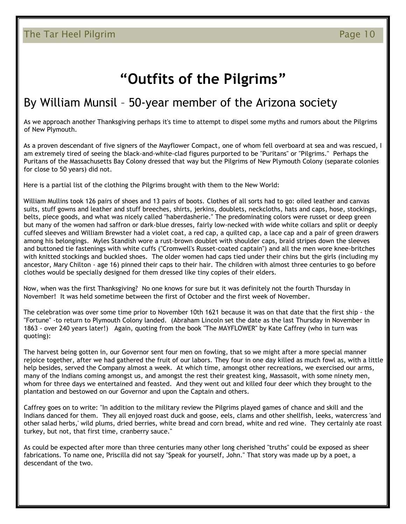## **"Outfits of the Pilgrims"**

### By William Munsil – 50-year member of the Arizona society

As we approach another Thanksgiving perhaps it's time to attempt to dispel some myths and rumors about the Pilgrims of New Plymouth.

As a proven descendant of five signers of the Mayflower Compact, one of whom fell overboard at sea and was rescued, I am extremely tired of seeing the black-and-white-clad figures purported to be "Puritans" or "Pilgrims." Perhaps the Puritans of the Massachusetts Bay Colony dressed that way but the Pilgrims of New Plymouth Colony (separate colonies for close to 50 years) did not.

Here is a partial list of the clothing the Pilgrims brought with them to the New World:

William Mullins took 126 pairs of shoes and 13 pairs of boots. Clothes of all sorts had to go: oiled leather and canvas suits, stuff gowns and leather and stuff breeches, shirts, jerkins, doublets, neckcloths, hats and caps, hose, stockings, belts, piece goods, and what was nicely called "haberdasherie." The predominating colors were russet or deep green but many of the women had saffron or dark-blue dresses, fairly low-necked with wide white collars and split or deeply cuffed sleeves and William Brewster had a violet coat, a red cap, a quilted cap, a lace cap and a pair of green drawers among his belongings. Myles Standish wore a rust-brown doublet with shoulder caps, braid stripes down the sleeves and buttoned tie fastenings with white cuffs ("Cromwell's Russet-coated captain") and all the men wore knee-britches with knitted stockings and buckled shoes. The older women had caps tied under their chins but the girls (including my ancestor, Mary Chilton - age 16) pinned their caps to their hair. The children with almost three centuries to go before clothes would be specially designed for them dressed like tiny copies of their elders.

Now, when was the first Thanksgiving? No one knows for sure but it was definitely not the fourth Thursday in November! It was held sometime between the first of October and the first week of November.

The celebration was over some time prior to November 10th 1621 because it was on that date that the first ship - the "Fortune" -to return to Plymouth Colony landed. (Abraham Lincoln set the date as the last Thursday in November in 1863 - over 240 years later!) Again, quoting from the book "The MAYFLOWER" by Kate Caffrey (who in turn was quoting):

The harvest being gotten in, our Governor sent four men on fowling, that so we might after a more special manner rejoice together, after we had gathered the fruit of our labors. They four in one day killed as much fowl as, with a little help besides, served the Company almost a week. At which time, amongst other recreations, we exercised our arms, many of the Indians coming amongst us, and amongst the rest their greatest king, Massasoit, with some ninety men, whom for three days we entertained and feasted. And they went out and killed four deer which they brought to the plantation and bestowed on our Governor and upon the Captain and others.

Caffrey goes on to write: "In addition to the military review the Pilgrims played games of chance and skill and the Indians danced for them. They all enjoyed roast duck and goose, eels, clams and other shellfish, leeks, watercress 'and other salad herbs,' wild plums, dried berries, white bread and corn bread, white and red wine. They certainly ate roast turkey, but not, that first time, cranberry sauce."

As could be expected after more than three centuries many other long cherished "truths" could be exposed as sheer fabrications. To name one, Priscilla did not say "Speak for yourself, John." That story was made up by a poet, a descendant of the two.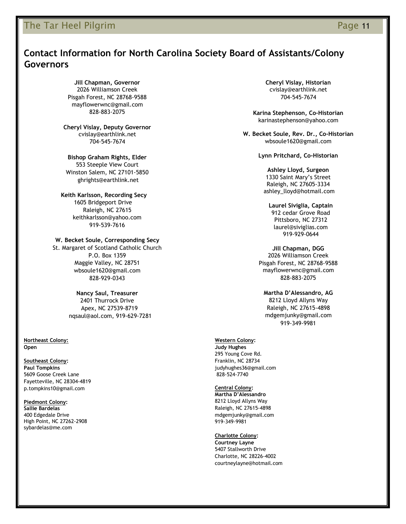### The Tar Heel Pilgrim **Page 11** and the *Page 11* and the *Page 11*

### **Contact Information for North Carolina Society Board of Assistants/Colony Governors**

**Jill Chapman, Governor** 2026 Williamson Creek Pisgah Forest, NC 28768-9588 mayflowerwnc@gmail.com 828-883-2075

**Cheryl Vislay, Deputy Governor**  cvislay@earthlink.net 704-545-7674

**Bishop Graham Rights, Elder** 553 Steeple View Court Winston Salem, NC 27101-5850

ghrights@earthlink.net  **Keith Karlsson, Recording Secy**

 1605 Bridgeport Drive Raleigh, NC 27615 keithkarlsson@yahoo.com 919-539-7616

**W. Becket Soule, Corresponding Secy**

St. Margaret of Scotland Catholic Church P.O. Box 1359 Maggie Valley, NC 28751 wbsoule1620@gmail.com 828-929-0343

> **Nancy Saul, Treasurer** 2401 Thurrock Drive Apex, NC 27539-8719 nqsaul@aol.com, 919-629-7281

**Northeast Colony: Open**

#### **Southeast Colony:**

**Paul Tompkins** 5609 Goose Creek Lane Fayetteville, NC 28304-4819 p.tompkins10@gmail.com

#### **Piedmont Colony:**

**Sallie Bardelas** 400 Edgedale Drive High Point, NC 27262-2908 sybardelas@me.com

**Cheryl Vislay, Historian** cvislay@earthlink.net 704-545-7674

**Karina Stephenson, Co-Historian** karinastephenson@yahoo.com

**W. Becket Soule, Rev. Dr., Co-Historian** wbsoule1620@gmail.com

**Lynn Pritchard, Co-Historian**

**Ashley Lloyd, Surgeon** 1330 Saint Mary's Street Raleigh, NC 27605-3334 ashley\_lloyd@hotmail.com

**Laurel Siviglia, Captain** 912 cedar Grove Road Pittsboro, NC 27312 laurel@siviglias.com 919-929-0644

**Jill Chapman, DGG** 2026 Williamson Creek Pisgah Forest, NC 28768-9588 mayflowerwnc@gmail.com 828-883-2075

**Martha D'Alessandro, AG** 8212 Lloyd Allyns Way Raleigh, NC 27615-4898 mdgemjunky@gmail.com 919-349-9981

#### **Western Colony:**

**Judy Hughes** 295 Young Cove Rd. Franklin, NC 28734 judyhughes36@gmail.com 828-524-7740

**Central Colony:**

**Martha D'Alessandro** 8212 Lloyd Allyns Way Raleigh, NC 27615-4898 mdgemjunky@gmail.com 919-349-9981

#### **Charlotte Colony:**

**Courtney Layne** 5407 Stallworth Drive Charlotte, NC 28226-4002 courtneylayne@hotmail.com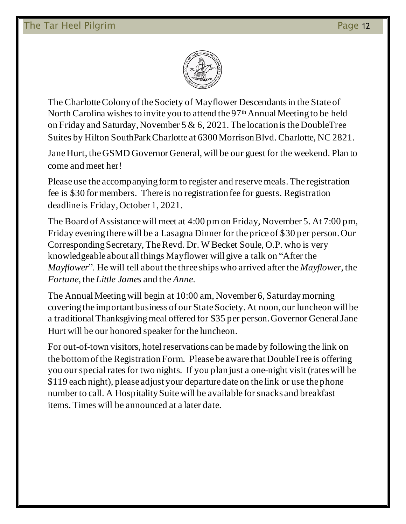

The Charlotte Colony of the Society of Mayflower Descendants in the State of North Carolina wishes to invite you to attend the 97<sup>th</sup> Annual Meeting to be held on Friday and Saturday, November 5 & 6, 2021. The location is the DoubleTree Suites by Hilton SouthPark Charlotte at 6300 Morrison Blvd. Charlotte, NC 2821.

Jane Hurt, the GSMD Governor General, will be our guest for the weekend. Plan to come and meet her!

Please use the accompanying form to register and reserve meals. The registration fee is \$30 for members. There is no registration fee for guests. Registration deadline is Friday, October 1, 2021.

The Board of Assistance will meet at 4:00 pm on Friday, November 5. At 7:00 pm, Friday evening there will be a Lasagna Dinner for the price of \$30 per person. Our Corresponding Secretary, The Revd. Dr. W Becket Soule, O.P. who is very knowledgeable about all things Mayflower will give a talk on "After the *Mayflower*". He will tell about the three ships who arrived after the *Mayflower*, the *Fortune*, the *Little James* and the *Anne*.

The Annual Meeting will begin at 10:00 am, November 6, Saturday morning covering the important business of our State Society. At noon, our luncheon will be a traditional Thanksgiving meal offered for \$35 per person. Governor General Jane Hurt will be our honored speaker for the luncheon.

For out-of-town visitors, hotel reservations can be made by following the link on the bottom of the Registration Form. Please be aware that DoubleTree is offering you our special rates for two nights. If you plan just a one-night visit (rates will be \$119 each night), please adjust your departure date on the link or use the phone number to call. A Hospitality Suite will be available for snacks and breakfast items. Times will be announced at a later date.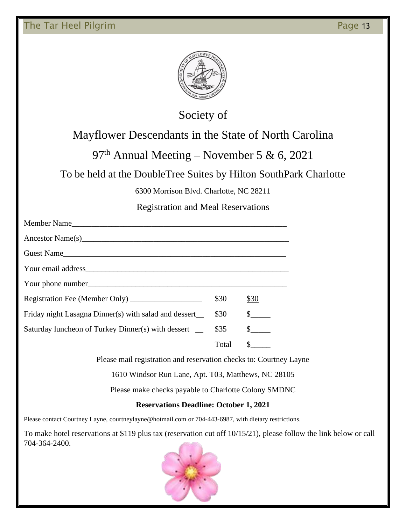

### Society of

### Mayflower Descendants in the State of North Carolina

### 97<sup>th</sup> Annual Meeting – November 5 & 6, 2021

### To be held at the DoubleTree Suites by Hilton SouthPark Charlotte

6300 Morrison Blvd. Charlotte, NC 28211

### Registration and Meal Reservations

| Member Name                                                                                                    |       |              |
|----------------------------------------------------------------------------------------------------------------|-------|--------------|
| Ancestor Name(s) 2008 and 2008 and 2008 and 2008 and 2008 and 2008 and 2008 and 2008 and 2008 and 2008 and 200 |       |              |
| Guest Name                                                                                                     |       |              |
|                                                                                                                |       |              |
|                                                                                                                |       |              |
|                                                                                                                | \$30  | \$30         |
| Friday night Lasagna Dinner(s) with salad and dessert_                                                         | \$30  | $\mathbb{S}$ |
| Saturday luncheon of Turkey Dinner(s) with dessert _                                                           | \$35  | $\mathbb{S}$ |
|                                                                                                                | Total | $\mathbb{S}$ |

Please mail registration and reservation checks to: Courtney Layne

1610 Windsor Run Lane, Apt. T03, Matthews, NC 28105

Please make checks payable to Charlotte Colony SMDNC

### **Reservations Deadline: October 1, 2021**

Please contact Courtney Layne, courtneylayne@hotmail.com or 704-443-6987, with dietary restrictions.

To make hotel reservations at \$119 plus tax (reservation cut off 10/15/21), please follow the link below or call 704-364-2400.

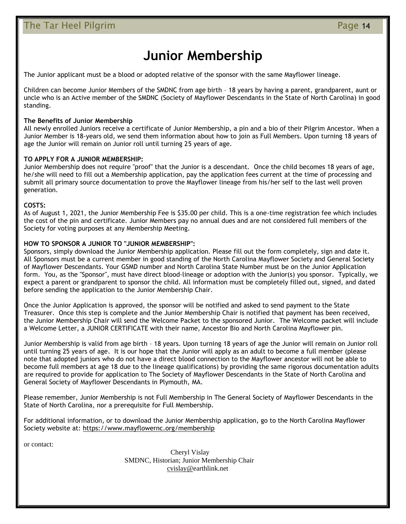## **Junior Membership**

The Junior applicant must be a blood or adopted relative of the sponsor with the same Mayflower lineage.

Children can become Junior Members of the SMDNC from age birth – 18 years by having a parent, grandparent, aunt or uncle who is an Active member of the SMDNC (Society of Mayflower Descendants in the State of North Carolina) in good standing.

#### **The Benefits of Junior Membership**

All newly enrolled Juniors receive a certificate of Junior Membership, a pin and a bio of their Pilgrim Ancestor. When a Junior Member is 18-years old, we send them information about how to join as Full Members. Upon turning 18 years of age the Junior will remain on Junior roll until turning 25 years of age.

#### **TO APPLY FOR A JUNIOR MEMBERSHIP:**

Junior Membership does not require "proof" that the Junior is a descendant. Once the child becomes 18 years of age, he/she will need to fill out a Membership application, pay the application fees current at the time of processing and submit all primary source documentation to prove the Mayflower lineage from his/her self to the last well proven generation.

#### **COSTS:**

As of August 1, 2021, the Junior Membership Fee is \$35.00 per child. This is a one-time registration fee which includes the cost of the pin and certificate. Junior Members pay no annual dues and are not considered full members of the Society for voting purposes at any Membership Meeting.

#### **HOW TO SPONSOR A JUNIOR TO "JUNIOR MEMBERSHIP":**

Sponsors, simply download the Junior Membership application. Please fill out the form completely, sign and date it. All Sponsors must be a current member in good standing of the North Carolina Mayflower Society and General Society of Mayflower Descendants. Your GSMD number and North Carolina State Number must be on the Junior Application form. You, as the "Sponsor", must have direct blood-lineage or adoption with the Junior(s) you sponsor. Typically, we expect a parent or grandparent to sponsor the child. All information must be completely filled out, signed, and dated before sending the application to the Junior Membership Chair.

Once the Junior Application is approved, the sponsor will be notified and asked to send payment to the State Treasurer. Once this step is complete and the Junior Membership Chair is notified that payment has been received, the Junior Membership Chair will send the Welcome Packet to the sponsored Junior. The Welcome packet will include a Welcome Letter, a JUNIOR CERTIFICATE with their name, Ancestor Bio and North Carolina Mayflower pin.

Junior Membership is valid from age birth – 18 years. Upon turning 18 years of age the Junior will remain on Junior roll until turning 25 years of age. It is our hope that the Junior will apply as an adult to become a full member (please note that adopted juniors who do not have a direct blood connection to the Mayflower ancestor will not be able to become full members at age 18 due to the lineage qualifications) by providing the same rigorous documentation adults are required to provide for application to The Society of Mayflower Descendants in the State of North Carolina and General Society of Mayflower Descendants in Plymouth, MA.

Please remember, Junior Membership is not Full Membership in The General Society of Mayflower Descendants in the State of North Carolina, nor a prerequisite for Full Membership.

For additional information, or to download the Junior Membership application, go to the North Carolina Mayflower Society website at: https://www.mayflowernc.org/membership

or contact:

Cheryl Vislay SMDNC, Historian; Junior Membership Chair cvislay@earthlink.net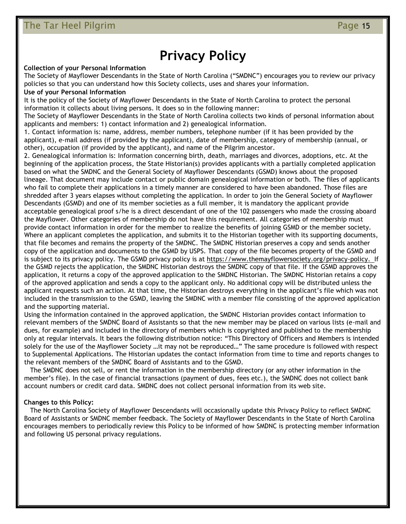## **Privacy Policy**

#### **Collection of your Personal Information**

The Society of Mayflower Descendants in the State of North Carolina ("SMDNC") encourages you to review our privacy policies so that you can understand how this Society collects, uses and shares your information.

#### **Use of your Personal Information**

It is the policy of the Society of Mayflower Descendants in the State of North Carolina to protect the personal information it collects about living persons. It does so in the following manner:

The Society of Mayflower Descendants in the State of North Carolina collects two kinds of personal information about applicants and members: 1) contact information and 2) genealogical information.

1. Contact information is: name, address, member numbers, telephone number (if it has been provided by the applicant), e-mail address (if provided by the applicant), date of membership, category of membership (annual, or other), occupation (if provided by the applicant), and name of the Pilgrim ancestor.

2. Genealogical information is: Information concerning birth, death, marriages and divorces, adoptions, etc. At the beginning of the application process, the State Historian(s) provides applicants with a partially completed application based on what the SMDNC and the General Society of Mayflower Descendants (GSMD) knows about the proposed lineage. That document may include contact or public domain genealogical information or both. The files of applicants who fail to complete their applications in a timely manner are considered to have been abandoned. Those files are shredded after 3 years elapses without completing the application. In order to join the General Society of Mayflower Descendants (GSMD) and one of its member societies as a full member, it is mandatory the applicant provide acceptable genealogical proof s/he is a direct descendant of one of the 102 passengers who made the crossing aboard the Mayflower. Other categories of membership do not have this requirement. All categories of membership must provide contact information in order for the member to realize the benefits of joining GSMD or the member society. Where an applicant completes the application, and submits it to the Historian together with its supporting documents, that file becomes and remains the property of the SMDNC. The SMDNC Historian preserves a copy and sends another copy of the application and documents to the GSMD by USPS. That copy of the file becomes property of the GSMD and is subject to its privacy policy. The GSMD privacy policy is at https://www.themayflowersociety.org/privacy-policy. If the GSMD rejects the application, the SMDNC Historian destroys the SMDNC copy of that file. If the GSMD approves the application, it returns a copy of the approved application to the SMDNC Historian. The SMDNC Historian retains a copy of the approved application and sends a copy to the applicant only. No additional copy will be distributed unless the applicant requests such an action. At that time, the Historian destroys everything in the applicant's file which was not included in the transmission to the GSMD, leaving the SMDNC with a member file consisting of the approved application and the supporting material.

Using the information contained in the approved application, the SMDNC Historian provides contact information to relevant members of the SMDNC Board of Assistants so that the new member may be placed on various lists (e-mail and dues, for example) and included in the directory of members which is copyrighted and published to the membership only at regular intervals. It bears the following distribution notice: "This Directory of Officers and Members is intended solely for the use of the Mayflower Society …it may not be reproduced…" The same procedure is followed with respect to Supplemental Applications. The Historian updates the contact information from time to time and reports changes to the relevant members of the SMDNC Board of Assistants and to the GSMD.

 The SMDNC does not sell, or rent the information in the membership directory (or any other information in the member's file). In the case of financial transactions (payment of dues, fees etc.), the SMDNC does not collect bank account numbers or credit card data. SMDNC does not collect personal information from its web site.

#### **Changes to this Policy:**

 The North Carolina Society of Mayflower Descendants will occasionally update this Privacy Policy to reflect SMDNC Board of Assistants or SMDNC member feedback. The Society of Mayflower Descendants in the State of North Carolina encourages members to periodically review this Policy to be informed of how SMDNC is protecting member information and following US personal privacy regulations.